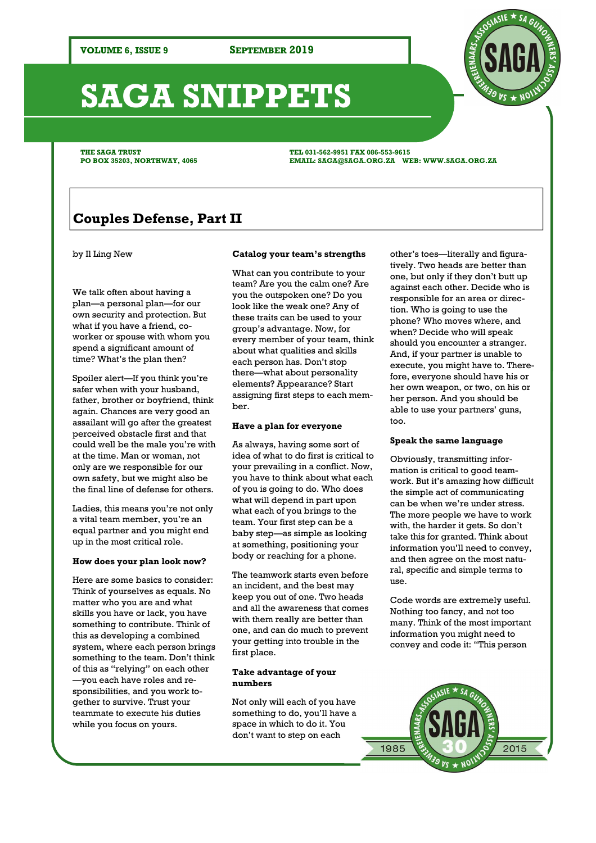# **SAGA SNIPPETS**

**THE SAGA TRUST PO BOX 35203, NORTHWAY, 4065**  **TEL 031-562-9951 FAX 086-553-9615 EMAIL: SAGA@SAGA.ORG.ZA WEB: WWW.SAGA.ORG.ZA** 

# **Couples Defense, Part II**

#### by Il Ling New

We talk often about having a plan—a personal plan—for our own security and protection. But what if you have a friend, coworker or spouse with whom you spend a significant amount of time? What's the plan then?

Spoiler alert—If you think you're safer when with your husband, father, brother or boyfriend, think again. Chances are very good an assailant will go after the greatest perceived obstacle first and that could well be the male you're with at the time. Man or woman, not only are we responsible for our own safety, but we might also be the final line of defense for others.

Ladies, this means you're not only a vital team member, you're an equal partner and you might end up in the most critical role.

#### **How does your plan look now?**

Here are some basics to consider: Think of yourselves as equals. No matter who you are and what skills you have or lack, you have something to contribute. Think of this as developing a combined system, where each person brings something to the team. Don't think of this as "relying" on each other —you each have roles and responsibilities, and you work together to survive. Trust your teammate to execute his duties while you focus on yours.

#### **Catalog your team's strengths**

What can you contribute to your team? Are you the calm one? Are you the outspoken one? Do you look like the weak one? Any of these traits can be used to your group's advantage. Now, for every member of your team, think about what qualities and skills each person has. Don't stop there—what about personality elements? Appearance? Start assigning first steps to each member.

#### **Have a plan for everyone**

As always, having some sort of idea of what to do first is critical to your prevailing in a conflict. Now, you have to think about what each of you is going to do. Who does what will depend in part upon what each of you brings to the team. Your first step can be a baby step—as simple as looking at something, positioning your body or reaching for a phone.

The teamwork starts even before an incident, and the best may keep you out of one. Two heads and all the awareness that comes with them really are better than one, and can do much to prevent your getting into trouble in the first place.

#### **Take advantage of your numbers**

Not only will each of you have something to do, you'll have a space in which to do it. You don't want to step on each

other's toes—literally and figuratively. Two heads are better than one, but only if they don't butt up against each other. Decide who is responsible for an area or direction. Who is going to use the phone? Who moves where, and when? Decide who will speak should you encounter a stranger. And, if your partner is unable to execute, you might have to. Therefore, everyone should have his or her own weapon, or two, on his or her person. And you should be able to use your partners' guns, too.

#### **Speak the same language**

Obviously, transmitting information is critical to good teamwork. But it's amazing how difficult the simple act of communicating can be when we're under stress. The more people we have to work with, the harder it gets. So don't take this for granted. Think about information you'll need to convey, and then agree on the most natural, specific and simple terms to use.

Code words are extremely useful. Nothing too fancy, and not too many. Think of the most important information you might need to convey and code it: "This person



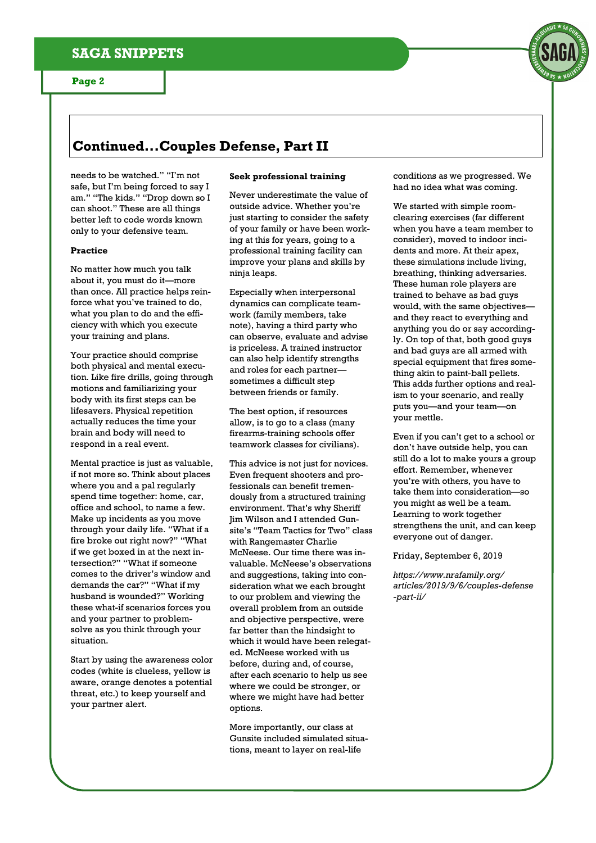# **Continued...Couples Defense, Part II**

needs to be watched." "I'm not safe, but I'm being forced to say I am." "The kids." "Drop down so I can shoot." These are all things better left to code words known only to your defensive team.

#### **Practice**

No matter how much you talk about it, you must do it—more than once. All practice helps reinforce what you've trained to do, what you plan to do and the efficiency with which you execute your training and plans.

Your practice should comprise both physical and mental execution. Like fire drills, going through motions and familiarizing your body with its first steps can be lifesavers. Physical repetition actually reduces the time your brain and body will need to respond in a real event.

Mental practice is just as valuable, if not more so. Think about places where you and a pal regularly spend time together: home, car, office and school, to name a few. Make up incidents as you move through your daily life. "What if a fire broke out right now?" "What if we get boxed in at the next intersection?" "What if someone comes to the driver's window and demands the car?" "What if my husband is wounded?" Working these what-if scenarios forces you and your partner to problemsolve as you think through your situation.

Start by using the awareness color codes (white is clueless, yellow is aware, orange denotes a potential threat, etc.) to keep yourself and your partner alert.

## **Seek professional training**

Never underestimate the value of outside advice. Whether you're just starting to consider the safety of your family or have been working at this for years, going to a professional training facility can improve your plans and skills by ninja leaps.

Especially when interpersonal dynamics can complicate teamwork (family members, take note), having a third party who can observe, evaluate and advise is priceless. A trained instructor can also help identify strengths and roles for each partner sometimes a difficult step between friends or family.

The best option, if resources allow, is to go to a class (many firearms-training schools offer teamwork classes for civilians).

This advice is not just for novices. Even frequent shooters and professionals can benefit tremendously from a structured training environment. That's why Sheriff Jim Wilson and I attended Gunsite's "Team Tactics for Two" class with Rangemaster Charlie McNeese. Our time there was invaluable. McNeese's observations and suggestions, taking into consideration what we each brought to our problem and viewing the overall problem from an outside and objective perspective, were far better than the hindsight to which it would have been relegated. McNeese worked with us before, during and, of course, after each scenario to help us see where we could be stronger, or where we might have had better options.

More importantly, our class at Gunsite included simulated situations, meant to layer on real-life

conditions as we progressed. We had no idea what was coming.

We started with simple roomclearing exercises (far different when you have a team member to consider), moved to indoor incidents and more. At their apex, these simulations include living, breathing, thinking adversaries. These human role players are trained to behave as bad guys would, with the same objectives and they react to everything and anything you do or say accordingly. On top of that, both good guys and bad guys are all armed with special equipment that fires something akin to paint-ball pellets. This adds further options and realism to your scenario, and really puts you—and your team—on your mettle.

Even if you can't get to a school or don't have outside help, you can still do a lot to make yours a group effort. Remember, whenever you're with others, you have to take them into consideration—so you might as well be a team. Learning to work together strengthens the unit, and can keep everyone out of danger.

Friday, September 6, 2019

*https://www.nrafamily.org/ articles/2019/9/6/couples-defense -part-ii/*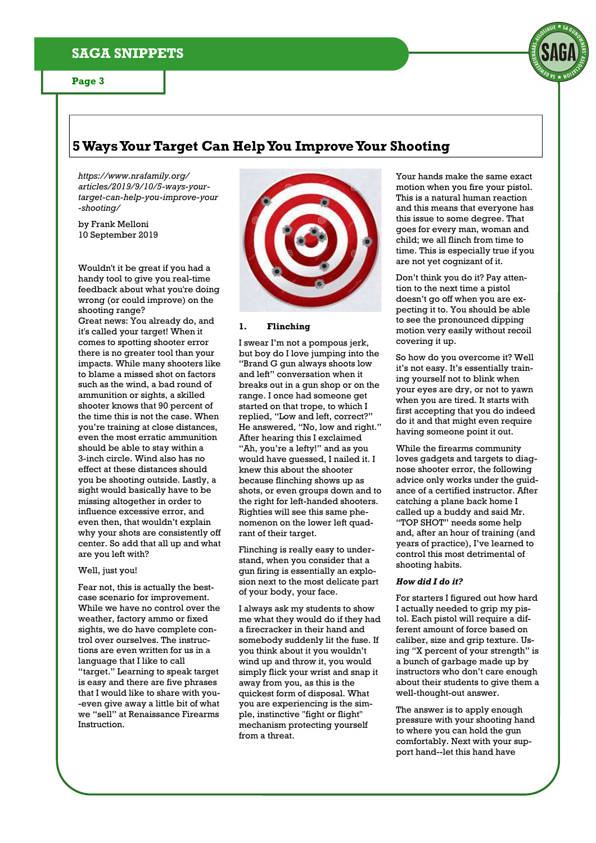# **SAGA SNIPPETS**

# **5 Ways Your Target Can Help You Improve Your Shooting**

*https://www.nrafamily.org/ articles/2019/9/10/5-ways-yourtarget-can-help-you-improve-your -shooting/* 

by Frank Melloni 10 September 2019

Wouldn't it be great if you had a handy tool to give you real-time feedback about what you're doing wrong (or could improve) on the shooting range?

Great news: You already do, and it's called your target! When it comes to spotting shooter error there is no greater tool than your impacts. While many shooters like to blame a missed shot on factors such as the wind, a bad round of ammunition or sights, a skilled shooter knows that 90 percent of the time this is not the case. When you're training at close distances, even the most erratic ammunition should be able to stay within a 3-inch circle. Wind also has no effect at these distances should you be shooting outside. Lastly, a sight would basically have to be missing altogether in order to influence excessive error, and even then, that wouldn't explain why your shots are consistently off center. So add that all up and what are you left with?

#### Well, just you!

Fear not, this is actually the bestcase scenario for improvement. While we have no control over the weather, factory ammo or fixed sights, we do have complete control over ourselves. The instructions are even written for us in a language that I like to call "target." Learning to speak target is easy and there are five phrases that I would like to share with you- -even give away a little bit of what we "sell" at Renaissance Firearms Instruction.



#### **1. Flinching**

I swear I'm not a pompous jerk, but boy do I love jumping into the "Brand G gun always shoots low and left" conversation when it breaks out in a gun shop or on the range. I once had someone get started on that trope, to which I replied, "Low and left, correct?" He answered, "No, low and right." After hearing this I exclaimed "Ah, you're a lefty!" and as you would have guessed, I nailed it. I knew this about the shooter because flinching shows up as shots, or even groups down and to the right for left-handed shooters. Righties will see this same phenomenon on the lower left quadrant of their target.

Flinching is really easy to understand, when you consider that a gun firing is essentially an explosion next to the most delicate part of your body, your face.

I always ask my students to show me what they would do if they had a firecracker in their hand and somebody suddenly lit the fuse. If you think about it you wouldn't wind up and throw it, you would simply flick your wrist and snap it away from you, as this is the quickest form of disposal. What you are experiencing is the simple, instinctive "fight or flight" mechanism protecting yourself from a threat.

Your hands make the same exact motion when you fire your pistol. This is a natural human reaction and this means that everyone has this issue to some degree. That goes for every man, woman and child; we all flinch from time to time. This is especially true if you are not yet cognizant of it.

Don't think you do it? Pay attention to the next time a pistol doesn't go off when you are expecting it to. You should be able to see the pronounced dipping motion very easily without recoil covering it up.

So how do you overcome it? Well it's not easy. It's essentially training yourself not to blink when your eyes are dry, or not to yawn when you are tired. It starts with first accepting that you do indeed do it and that might even require having someone point it out.

While the firearms community loves gadgets and targets to diagnose shooter error, the following advice only works under the guidance of a certified instructor. After catching a plane back home I called up a buddy and said Mr. "TOP SHOT" needs some help and, after an hour of training (and years of practice), I've learned to control this most detrimental of shooting habits.

#### *How did I do it?*

For starters I figured out how hard I actually needed to grip my pistol. Each pistol will require a different amount of force based on caliber, size and grip texture. Using "X percent of your strength" is a bunch of garbage made up by instructors who don't care enough about their students to give them a well-thought-out answer.

The answer is to apply enough pressure with your shooting hand to where you can hold the gun comfortably. Next with your support hand--let this hand have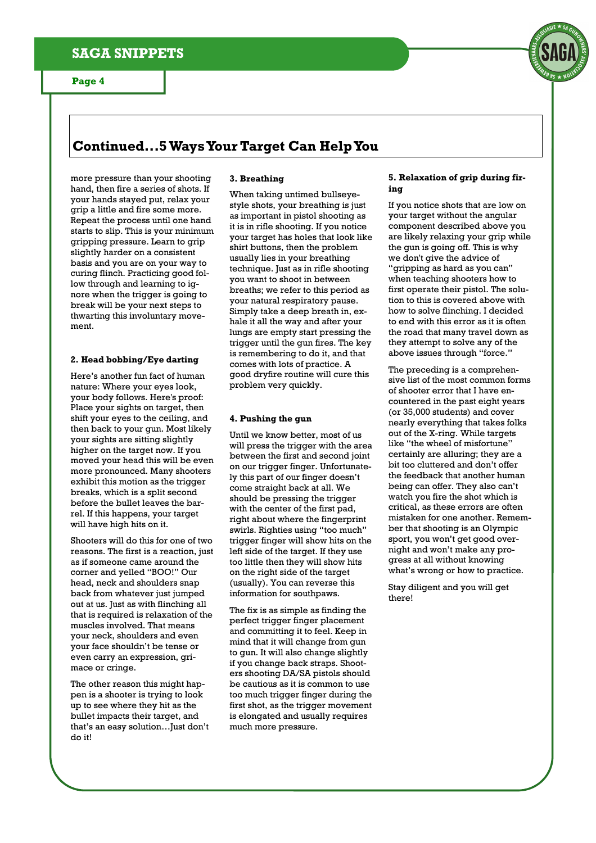# **Continued...5 Ways Your Target Can Help You**

more pressure than your shooting hand, then fire a series of shots. If your hands stayed put, relax your grip a little and fire some more. Repeat the process until one hand starts to slip. This is your minimum gripping pressure. Learn to grip slightly harder on a consistent basis and you are on your way to curing flinch. Practicing good follow through and learning to ignore when the trigger is going to break will be your next steps to thwarting this involuntary movement.

### **2. Head bobbing/Eye darting**

Here's another fun fact of human nature: Where your eyes look, your body follows. Here's proof: Place your sights on target, then shift your eyes to the ceiling, and then back to your gun. Most likely your sights are sitting slightly higher on the target now. If you moved your head this will be even more pronounced. Many shooters exhibit this motion as the trigger breaks, which is a split second before the bullet leaves the barrel. If this happens, your target will have high hits on it.

Shooters will do this for one of two reasons. The first is a reaction, just as if someone came around the corner and yelled "BOO!" Our head, neck and shoulders snap back from whatever just jumped out at us. Just as with flinching all that is required is relaxation of the muscles involved. That means your neck, shoulders and even your face shouldn't be tense or even carry an expression, grimace or cringe.

The other reason this might happen is a shooter is trying to look up to see where they hit as the bullet impacts their target, and that's an easy solution…Just don't do it!

#### **3. Breathing**

When taking untimed bullseyestyle shots, your breathing is just as important in pistol shooting as it is in rifle shooting. If you notice your target has holes that look like shirt buttons, then the problem usually lies in your breathing technique. Just as in rifle shooting you want to shoot in between breaths; we refer to this period as your natural respiratory pause. Simply take a deep breath in, exhale it all the way and after your lungs are empty start pressing the trigger until the gun fires. The key is remembering to do it, and that comes with lots of practice. A good dryfire routine will cure this problem very quickly.

### **4. Pushing the gun**

Until we know better, most of us will press the trigger with the area between the first and second joint on our trigger finger. Unfortunately this part of our finger doesn't come straight back at all. We should be pressing the trigger with the center of the first pad, right about where the fingerprint swirls. Righties using "too much" trigger finger will show hits on the left side of the target. If they use too little then they will show hits on the right side of the target (usually). You can reverse this information for southpaws.

The fix is as simple as finding the perfect trigger finger placement and committing it to feel. Keep in mind that it will change from gun to gun. It will also change slightly if you change back straps. Shooters shooting DA/SA pistols should be cautious as it is common to use too much trigger finger during the first shot, as the trigger movement is elongated and usually requires much more pressure.

#### **5. Relaxation of grip during firing**

If you notice shots that are low on your target without the angular component described above you are likely relaxing your grip while the gun is going off. This is why we don't give the advice of "gripping as hard as you can" when teaching shooters how to first operate their pistol. The solution to this is covered above with how to solve flinching. I decided to end with this error as it is often the road that many travel down as they attempt to solve any of the above issues through "force."

The preceding is a comprehensive list of the most common forms of shooter error that I have encountered in the past eight years (or 35,000 students) and cover nearly everything that takes folks out of the X-ring. While targets like "the wheel of misfortune" certainly are alluring; they are a bit too cluttered and don't offer the feedback that another human being can offer. They also can't watch you fire the shot which is critical, as these errors are often mistaken for one another. Remember that shooting is an Olympic sport, you won't get good overnight and won't make any progress at all without knowing what's wrong or how to practice.

Stay diligent and you will get there!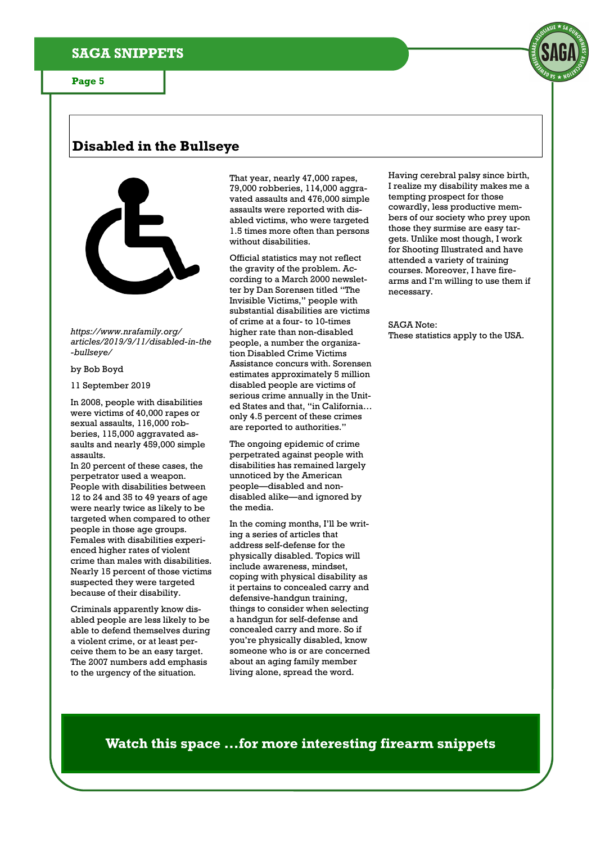# **Disabled in the Bullseye**



*https://www.nrafamily.org/ articles/2019/9/11/disabled-in-the -bullseye/* 

#### by Bob Boyd

11 September 2019

In 2008, people with disabilities were victims of 40,000 rapes or sexual assaults, 116,000 robberies, 115,000 aggravated assaults and nearly 459,000 simple assaults.

In 20 percent of these cases, the perpetrator used a weapon. People with disabilities between 12 to 24 and 35 to 49 years of age were nearly twice as likely to be targeted when compared to other people in those age groups. Females with disabilities experienced higher rates of violent crime than males with disabilities. Nearly 15 percent of those victims suspected they were targeted because of their disability.

Criminals apparently know disabled people are less likely to be able to defend themselves during a violent crime, or at least perceive them to be an easy target. The 2007 numbers add emphasis to the urgency of the situation.

That year, nearly 47,000 rapes, 79,000 robberies, 114,000 aggravated assaults and 476,000 simple assaults were reported with disabled victims, who were targeted 1.5 times more often than persons without disabilities.

Official statistics may not reflect the gravity of the problem. According to a March 2000 newsletter by Dan Sorensen titled "The Invisible Victims," people with substantial disabilities are victims of crime at a four- to 10-times higher rate than non-disabled people, a number the organization Disabled Crime Victims Assistance concurs with. Sorensen estimates approximately 5 million disabled people are victims of serious crime annually in the United States and that, "in California… only 4.5 percent of these crimes are reported to authorities."

The ongoing epidemic of crime perpetrated against people with disabilities has remained largely unnoticed by the American people—disabled and nondisabled alike—and ignored by the media.

In the coming months, I'll be writing a series of articles that address self-defense for the physically disabled. Topics will include awareness, mindset, coping with physical disability as it pertains to concealed carry and defensive-handgun training, things to consider when selecting a handgun for self-defense and concealed carry and more. So if you're physically disabled, know someone who is or are concerned about an aging family member living alone, spread the word.

Having cerebral palsy since birth, I realize my disability makes me a tempting prospect for those cowardly, less productive members of our society who prey upon those they surmise are easy targets. Unlike most though, I work for Shooting Illustrated and have attended a variety of training courses. Moreover, I have firearms and I'm willing to use them if necessary.

SAGA Note: These statistics apply to the USA.

**Watch this space ...for more interesting firearm snippets**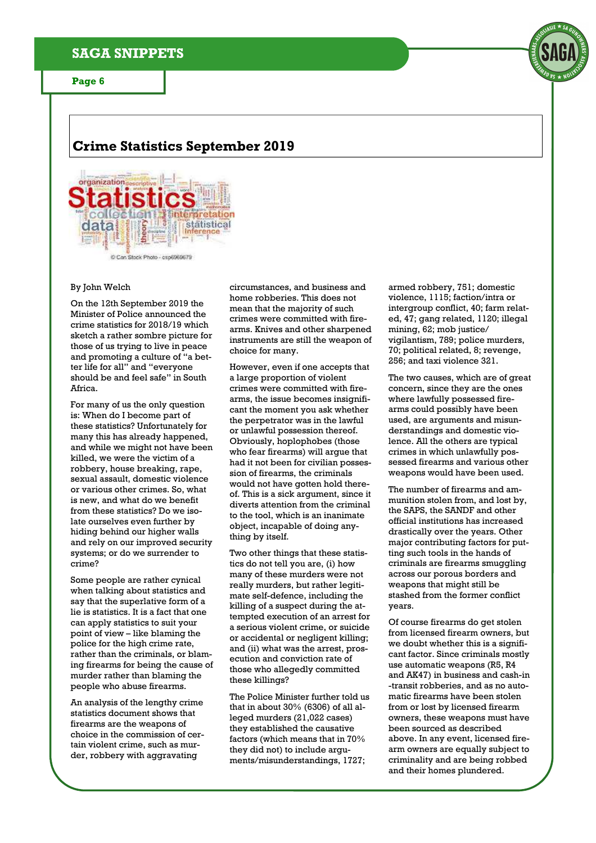## **SAGA SNIPPETS**

**Page 6** 



# **Crime Statistics September 2019**



#### By John Welch

On the 12th September 2019 the Minister of Police announced the crime statistics for 2018/19 which sketch a rather sombre picture for those of us trying to live in peace and promoting a culture of "a better life for all" and "everyone should be and feel safe" in South Africa.

For many of us the only question is: When do I become part of these statistics? Unfortunately for many this has already happened, and while we might not have been killed, we were the victim of a robbery, house breaking, rape, sexual assault, domestic violence or various other crimes. So, what is new, and what do we benefit from these statistics? Do we isolate ourselves even further by hiding behind our higher walls and rely on our improved security systems; or do we surrender to crime?

Some people are rather cynical when talking about statistics and say that the superlative form of a lie is statistics. It is a fact that one can apply statistics to suit your point of view – like blaming the police for the high crime rate, rather than the criminals, or blaming firearms for being the cause of murder rather than blaming the people who abuse firearms.

An analysis of the lengthy crime statistics document shows that firearms are the weapons of choice in the commission of certain violent crime, such as murder, robbery with aggravating

circumstances, and business and home robberies. This does not mean that the majority of such crimes were committed with firearms. Knives and other sharpened instruments are still the weapon of choice for many.

However, even if one accepts that a large proportion of violent crimes were committed with firearms, the issue becomes insignificant the moment you ask whether the perpetrator was in the lawful or unlawful possession thereof. Obviously, hoplophobes (those who fear firearms) will argue that had it not been for civilian possession of firearms, the criminals would not have gotten hold thereof. This is a sick argument, since it diverts attention from the criminal to the tool, which is an inanimate object, incapable of doing anything by itself.

Two other things that these statistics do not tell you are, (i) how many of these murders were not really murders, but rather legitimate self-defence, including the killing of a suspect during the attempted execution of an arrest for a serious violent crime, or suicide or accidental or negligent killing; and (ii) what was the arrest, prosecution and conviction rate of those who allegedly committed these killings?

The Police Minister further told us that in about 30% (6306) of all alleged murders (21,022 cases) they established the causative factors (which means that in 70% they did not) to include arguments/misunderstandings, 1727;

armed robbery, 751; domestic violence, 1115; faction/intra or intergroup conflict, 40; farm related, 47; gang related, 1120; illegal mining, 62; mob justice/ vigilantism, 789; police murders, 70; political related, 8; revenge, 256; and taxi violence 321.

The two causes, which are of great concern, since they are the ones where lawfully possessed firearms could possibly have been used, are arguments and misunderstandings and domestic violence. All the others are typical crimes in which unlawfully possessed firearms and various other weapons would have been used.

The number of firearms and ammunition stolen from, and lost by, the SAPS, the SANDF and other official institutions has increased drastically over the years. Other major contributing factors for putting such tools in the hands of criminals are firearms smuggling across our porous borders and weapons that might still be stashed from the former conflict years.

Of course firearms do get stolen from licensed firearm owners, but we doubt whether this is a significant factor. Since criminals mostly use automatic weapons (R5, R4 and AK47) in business and cash-in -transit robberies, and as no automatic firearms have been stolen from or lost by licensed firearm owners, these weapons must have been sourced as described above. In any event, licensed firearm owners are equally subject to criminality and are being robbed and their homes plundered.